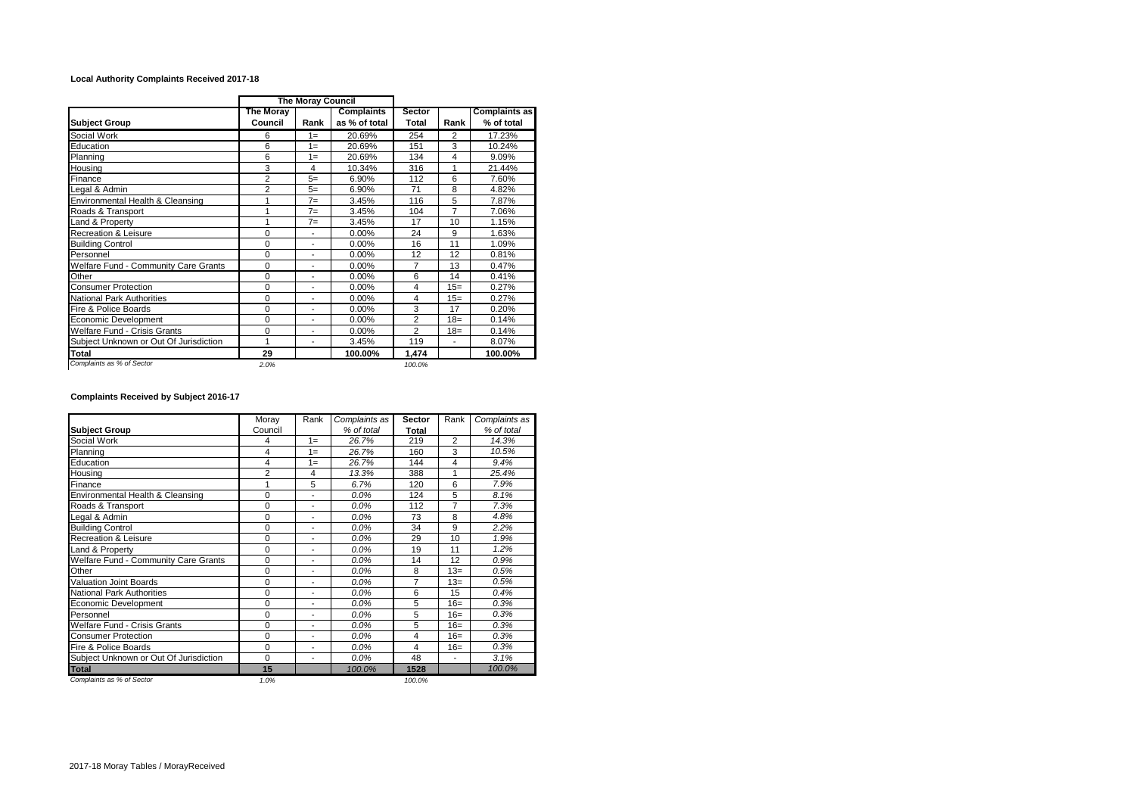## **Local Authority Complaints Received 2017-18**

|                                        | <b>The Moray Council</b> |                |                                    |                        |        |                                    |
|----------------------------------------|--------------------------|----------------|------------------------------------|------------------------|--------|------------------------------------|
| <b>Subject Group</b>                   | The Moray<br>Council     | Rank           | <b>Complaints</b><br>as % of total | <b>Sector</b><br>Total | Rank   | <b>Complaints as</b><br>% of total |
| Social Work                            | 6                        | $1 =$          | 20.69%                             | 254                    | 2      | 17.23%                             |
| Education                              | 6                        | $1 =$          | 20.69%                             | 151                    | 3      | 10.24%                             |
| Planning                               | 6                        | $1 =$          | 20.69%                             | 134                    | 4      | 9.09%                              |
| Housing                                | 3                        | 4              | 10.34%                             | 316                    | 1      | 21.44%                             |
| Finance                                | $\overline{2}$           | $5=$           | 6.90%                              | 112                    | 6      | 7.60%                              |
| Legal & Admin                          | 2                        | $5=$           | 6.90%                              | 71                     | 8      | 4.82%                              |
| Environmental Health & Cleansing       | 1                        | $7 =$          | 3.45%                              | 116                    | 5      | 7.87%                              |
| Roads & Transport                      | 1                        | $7=$           | 3.45%                              | 104                    | 7      | 7.06%                              |
| Land & Property                        | 1                        | $7 =$          | 3.45%                              | 17                     | 10     | 1.15%                              |
| <b>Recreation &amp; Leisure</b>        | 0                        | ÷,             | 0.00%                              | 24                     | 9      | 1.63%                              |
| <b>Building Control</b>                | 0                        | ٠              | 0.00%                              | 16                     | 11     | 1.09%                              |
| Personnel                              | 0                        | ÷,             | 0.00%                              | 12                     | 12     | 0.81%                              |
| Welfare Fund - Community Care Grants   | 0                        | ÷,             | 0.00%                              | 7                      | 13     | 0.47%                              |
| Other                                  | 0                        | ÷,             | 0.00%                              | 6                      | 14     | 0.41%                              |
| <b>Consumer Protection</b>             | 0                        | $\blacksquare$ | 0.00%                              | 4                      | $15=$  | 0.27%                              |
| <b>National Park Authorities</b>       | 0                        | $\blacksquare$ | 0.00%                              | 4                      | $15=$  | 0.27%                              |
| Fire & Police Boards                   | 0                        | $\blacksquare$ | 0.00%                              | 3                      | 17     | 0.20%                              |
| Economic Development                   | 0                        | ٠              | 0.00%                              | $\overline{2}$         | $18 =$ | 0.14%                              |
| Welfare Fund - Crisis Grants           | 0                        | ۰              | 0.00%                              | $\overline{2}$         | $18=$  | 0.14%                              |
| Subject Unknown or Out Of Jurisdiction | 1                        | $\blacksquare$ | 3.45%                              | 119                    | ٠      | 8.07%                              |
| Total                                  | 29                       |                | 100.00%                            | 1,474                  |        | 100.00%                            |
| Complaints as % of Sector              | 2.0%                     |                |                                    | 100.0%                 |        |                                    |

## **Complaints Received by Subject 2016-17**

|                                        | Moray       | Rank           | Complaints as | <b>Sector</b>  | Rank           | Complaints as |
|----------------------------------------|-------------|----------------|---------------|----------------|----------------|---------------|
| <b>Subject Group</b>                   | Council     |                | % of total    | Total          |                | % of total    |
| Social Work                            | 4           | $1 =$          | 26.7%         | 219            | $\overline{2}$ | 14.3%         |
| Planning                               | 4           | $1 =$          | 26.7%         | 160            | 3              | 10.5%         |
| Education                              | 4           | $1 =$          | 26.7%         | 144            | 4              | 9.4%          |
| Housing                                | 2           | 4              | 13.3%         | 388            | 1              | 25.4%         |
| Finance                                | 1           | 5              | 6.7%          | 120            | 6              | 7.9%          |
| Environmental Health & Cleansing       | $\Omega$    | ä,             | 0.0%          | 124            | 5              | 8.1%          |
| Roads & Transport                      | $\mathbf 0$ | ÷              | 0.0%          | 112            | $\overline{7}$ | 7.3%          |
| Legal & Admin                          | $\Omega$    | ä,             | 0.0%          | 73             | 8              | 4.8%          |
| <b>Building Control</b>                | $\Omega$    | ÷              | 0.0%          | 34             | 9              | 2.2%          |
| <b>Recreation &amp; Leisure</b>        | $\Omega$    | $\blacksquare$ | 0.0%          | 29             | 10             | 1.9%          |
| Land & Property                        | $\Omega$    | ä,             | 0.0%          | 19             | 11             | 1.2%          |
| Welfare Fund - Community Care Grants   | $\Omega$    | $\blacksquare$ | $0.0\%$       | 14             | 12             | 0.9%          |
| Other                                  | $\Omega$    | $\blacksquare$ | 0.0%          | 8              | $13=$          | 0.5%          |
| <b>Valuation Joint Boards</b>          | $\Omega$    | ÷              | $0.0\%$       | $\overline{7}$ | $13=$          | 0.5%          |
| National Park Authorities              | $\Omega$    | $\blacksquare$ | 0.0%          | 6              | 15             | 0.4%          |
| <b>Economic Development</b>            | $\Omega$    | $\blacksquare$ | 0.0%          | 5              | $16=$          | 0.3%          |
| Personnel                              | $\mathbf 0$ | $\blacksquare$ | 0.0%          | 5              | $16=$          | 0.3%          |
| Welfare Fund - Crisis Grants           | $\Omega$    | $\blacksquare$ | 0.0%          | 5              | $16=$          | 0.3%          |
| <b>Consumer Protection</b>             | $\mathbf 0$ | $\blacksquare$ | 0.0%          | 4              | $16=$          | 0.3%          |
| Fire & Police Boards                   | $\mathbf 0$ | $\blacksquare$ | 0.0%          | 4              | $16=$          | 0.3%          |
| Subject Unknown or Out Of Jurisdiction | $\Omega$    | $\blacksquare$ | 0.0%          | 48             | ٠              | 3.1%          |
| <b>Total</b>                           | 15          |                | 100.0%        | 1528           |                | 100.0%        |
| Complaints as % of Sector              | 1.0%        |                |               | 100.0%         |                |               |